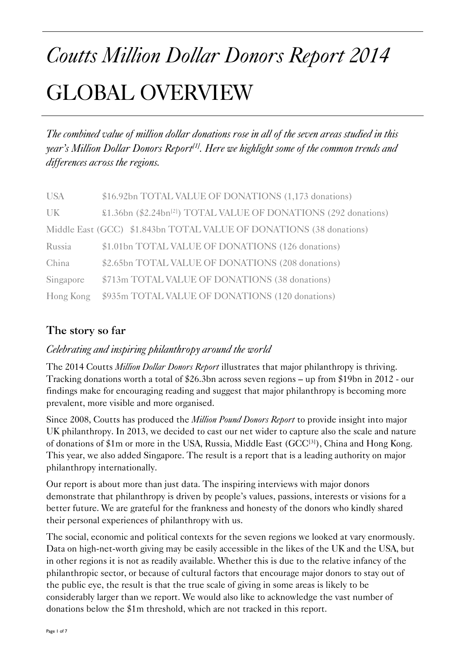# *Coutts Million Dollar Donors Report 2014*  GLOBAL OVERVIEW

*The combined value of million dollar donations rose in all of the seven areas studied in this year's Million Dollar Donors Report*<sup>[1]</sup>. Here we highlight some of the common trends and *differences across the regions.* 

| <b>USA</b> | \$16.92bn TOTAL VALUE OF DONATIONS (1,173 donations)                         |
|------------|------------------------------------------------------------------------------|
| <b>UK</b>  | \$1.36bn (\$2.24bn <sup>[2]</sup> ) TOTAL VALUE OF DONATIONS (292 donations) |
|            | Middle East (GCC) \$1.843bn TOTAL VALUE OF DONATIONS (38 donations)          |
| Russia     | \$1.01bn TOTAL VALUE OF DONATIONS (126 donations)                            |
| China      | \$2.65bn TOTAL VALUE OF DONATIONS (208 donations)                            |
| Singapore  | \$713m TOTAL VALUE OF DONATIONS (38 donations)                               |
| Hong Kong  | \$935m TOTAL VALUE OF DONATIONS (120 donations)                              |

## **The story so far**

## *Celebrating and inspiring philanthropy around the world*

The 2014 Coutts *Million Dollar Donors Report* illustrates that major philanthropy is thriving. Tracking donations worth a total of \$26.3bn across seven regions – up from \$19bn in 2012 - our findings make for encouraging reading and suggest that major philanthropy is becoming more prevalent, more visible and more organised.

Since 2008, Coutts has produced the *Million Pound Donors Report* to provide insight into major UK philanthropy. In 2013, we decided to cast our net wider to capture also the scale and nature of donations of \$1m or more in the USA, Russia, Middle East (GCC<sup>[3]</sup>), China and Hong Kong. This year, we also added Singapore. The result is a report that is a leading authority on major philanthropy internationally.

Our report is about more than just data. The inspiring interviews with major donors demonstrate that philanthropy is driven by people's values, passions, interests or visions for a better future. We are grateful for the frankness and honesty of the donors who kindly shared their personal experiences of philanthropy with us.

The social, economic and political contexts for the seven regions we looked at vary enormously. Data on high-net-worth giving may be easily accessible in the likes of the UK and the USA, but in other regions it is not as readily available. Whether this is due to the relative infancy of the philanthropic sector, or because of cultural factors that encourage major donors to stay out of the public eye, the result is that the true scale of giving in some areas is likely to be considerably larger than we report. We would also like to acknowledge the vast number of donations below the \$1m threshold, which are not tracked in this report.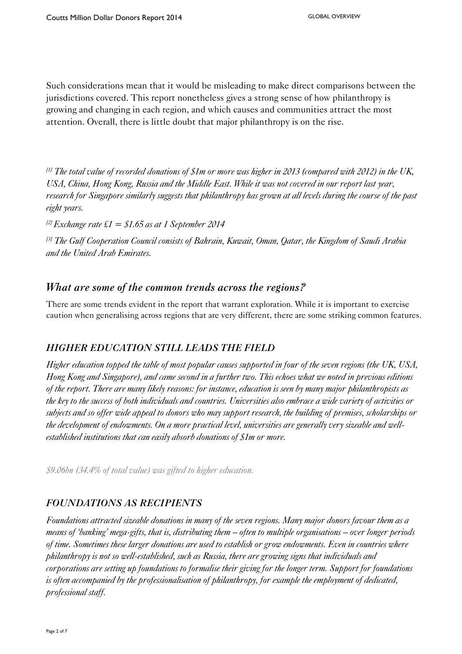Such considerations mean that it would be misleading to make direct comparisons between the jurisdictions covered. This report nonetheless gives a strong sense of how philanthropy is growing and changing in each region, and which causes and communities attract the most attention. Overall, there is little doubt that major philanthropy is on the rise.

*[1] The total value of recorded donations of \$1m or more was higher in 2013 (compared with 2012) in the UK, USA, China, Hong Kong, Russia and the Middle East. While it was not covered in our report last year, research for Singapore similarly suggests that philanthropy has grown at all levels during the course of the past eight years.* 

*[2] Exchange rate £1 = \$1.65 as at 1 September 2014* 

*[3] The Gulf Cooperation Council consists of Bahrain, Kuwait, Oman, Qatar, the Kingdom of Saudi Arabia and the United Arab Emirates.* 

## *What are some of the common trends across the regions?*

There are some trends evident in the report that warrant exploration. While it is important to exercise caution when generalising across regions that are very different, there are some striking common features.

## *HIGHER EDUCATION STILL LEADS THE FIELD*

*Higher education topped the table of most popular causes supported in four of the seven regions (the UK, USA, Hong Kong and Singapore), and came second in a further two. This echoes what we noted in previous editions of the report. There are many likely reasons: for instance, education is seen by many major philanthropists as the key to the success of both individuals and countries. Universities also embrace a wide variety of activities or subjects and so offer wide appeal to donors who may support research, the building of premises, scholarships or the development of endowments. On a more practical level, universities are generally very sizeable and wellestablished institutions that can easily absorb donations of \$1m or more.* 

*\$9.06bn (34.4% of total value) was gifted to higher education.* 

## *FOUNDATIONS AS RECIPIENTS*

*Foundations attracted sizeable donations in many of the seven regions. Many major donors favour them as a means of 'banking' mega-gifts, that is, distributing them – often to multiple organisations – over longer periods of time. Sometimes these larger donations are used to establish or grow endowments. Even in countries where philanthropy is not so well-established, such as Russia, there are growing signs that individuals and corporations are setting up foundations to formalise their giving for the longer term. Support for foundations is often accompanied by the professionalisation of philanthropy, for example the employment of dedicated, professional staff.*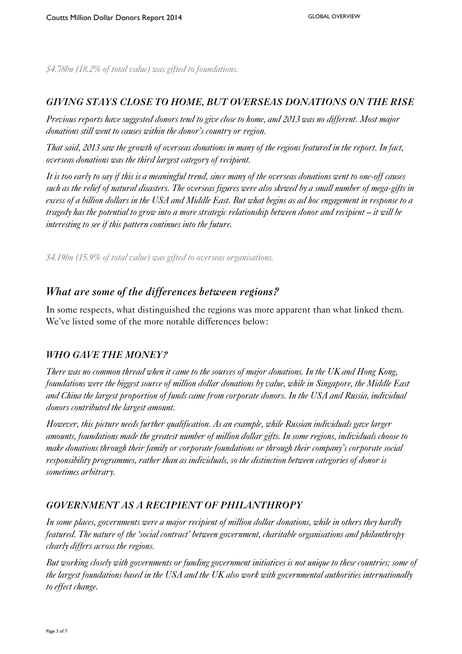*\$4.78bn (18.2% of total value) was gifted to foundations.* 

#### *GIVING STAYS CLOSE TO HOME, BUT OVERSEAS DONATIONS ON THE RISE*

*Previous reports have suggested donors tend to give close to home, and 2013 was no different. Most major donations still went to causes within the donor's country or region.* 

*That said, 2013 saw the growth of overseas donations in many of the regions featured in the report. In fact, overseas donations was the third largest category of recipient.* 

*It is too early to say if this is a meaningful trend, since many of the overseas donations went to one-off causes such as the relief of natural disasters. The overseas figures were also skewed by a small number of mega-gifts in excess of a billion dollars in the USA and Middle East. But what begins as ad hoc engagement in response to a tragedy has the potential to grow into a more strategic relationship between donor and recipient – it will be interesting to see if this pattern continues into the future.* 

*\$4.19bn (15.9% of total value) was gifted to overseas organisations.* 

## *What are some of the differences between regions?*

In some respects, what distinguished the regions was more apparent than what linked them. We've listed some of the more notable differences below:

#### *WHO GAVE THE MONEY?*

*There was no common thread when it came to the sources of major donations. In the UK and Hong Kong, foundations were the biggest source of million dollar donations by value, while in Singapore, the Middle East and China the largest proportion of funds came from corporate donors. In the USA and Russia, individual donors contributed the largest amount.* 

*However, this picture needs further qualification. As an example, while Russian individuals gave larger amounts, foundations made the greatest number of million dollar gifts. In some regions, individuals choose to make donations through their family or corporate foundations or through their company's corporate social responsibility programmes, rather than as individuals, so the distinction between categories of donor is sometimes arbitrary.* 

## *GOVERNMENT AS A RECIPIENT OF PHILANTHROPY*

*In some places, governments were a major recipient of million dollar donations, while in others they hardly featured. The nature of the 'social contract' between government, charitable organisations and philanthropy clearly differs across the regions.* 

*But working closely with governments or funding government initiatives is not unique to these countries; some of the largest foundations based in the USA and the UK also work with governmental authorities internationally to effect change.*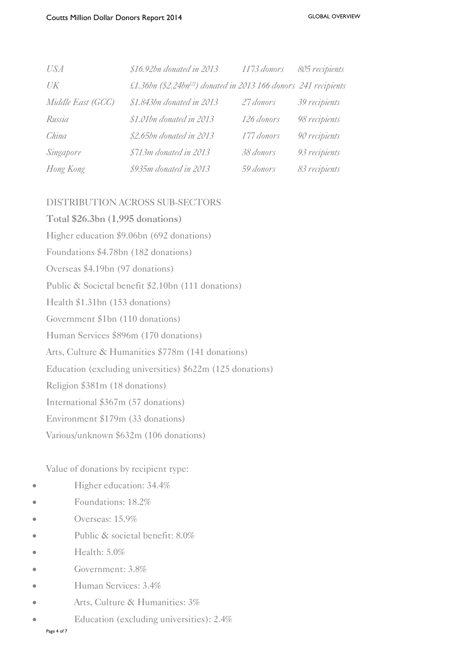| <b>USA</b>        | \$16.92bn donated in 2013                                                    | 1173 donors | 805 recipients |
|-------------------|------------------------------------------------------------------------------|-------------|----------------|
| $U\!K$            | £1.36bn (\$2.24bn <sup>[2]</sup> ) donated in 2013 166 donors 241 recipients |             |                |
| Middle East (GCC) | \$1.843bn donated in 2013                                                    | 27 donors   | 39 recipients  |
| Russia            | \$1.01bn donated in 2013                                                     | 126 donors  | 98 recipients  |
| China             | \$2.65bn donated in 2013                                                     | 177 donors  | 90 recipients  |
| Singapore         | \$713m donated in 2013                                                       | 38 donors   | 93 recipients  |
| Hong Kong         | \$935m donated in 2013                                                       | 59 donors   | 83 recipients  |

#### DISTRIBUTION ACROSS SUB-SECTORS

**Total \$26.3bn (1,995 donations)**  Higher education \$9.06bn (692 donations) Foundations \$4.78bn (182 donations) Overseas \$4.19bn (97 donations) Public & Societal benefit \$2.10bn (111 donations) Health \$1.31bn (153 donations) Government \$1bn (110 donations) Human Services \$896m (170 donations) Arts, Culture & Humanities \$778m (141 donations) Education (excluding universities) \$622m (125 donations) Religion \$381m (18 donations) International \$367m (57 donations) Environment \$179m (33 donations) Various/unknown \$632m (106 donations)

Value of donations by recipient type:

- Higher education: 34.4%
- Foundations: 18.2%
- Overseas: 15.9%
- Public & societal benefit: 8.0%
- Health: 5.0%
- Government: 3.8%
- Human Services: 3.4%
- Arts, Culture & Humanities: 3%
- Education (excluding universities): 2.4%

Page 4 of 7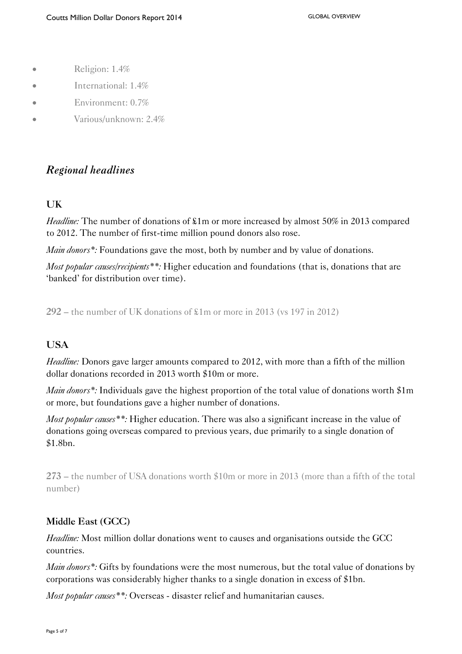- Religion: 1.4%
- International: 1.4%
- Environment: 0.7%
- **Various/unknown: 2.4%**

## *Regional headlines*

#### **UK**

*Headline:* The number of donations of  $\pounds 1m$  or more increased by almost 50% in 2013 compared to 2012. The number of first-time million pound donors also rose.

*Main donors*<sup>\*</sup>: Foundations gave the most, both by number and by value of donations.

*Most popular causes/recipients\*\*:* Higher education and foundations (that is, donations that are 'banked' for distribution over time).

**292** – the number of UK donations of £1m or more in 2013 (vs 197 in 2012)

#### **USA**

*Headline:* Donors gave larger amounts compared to 2012, with more than a fifth of the million dollar donations recorded in 2013 worth \$10m or more.

*Main donors*\*: Individuals gave the highest proportion of the total value of donations worth \$1m or more, but foundations gave a higher number of donations.

*Most popular causes\*\*:* Higher education. There was also a significant increase in the value of donations going overseas compared to previous years, due primarily to a single donation of \$1.8bn.

**273** – the number of USA donations worth \$10m or more in 2013 (more than a fifth of the total number)

#### **Middle East (GCC)**

*Headline:* Most million dollar donations went to causes and organisations outside the GCC countries.

*Main donors\*:* Gifts by foundations were the most numerous, but the total value of donations by corporations was considerably higher thanks to a single donation in excess of \$1bn.

*Most popular causes\*\*:* Overseas - disaster relief and humanitarian causes.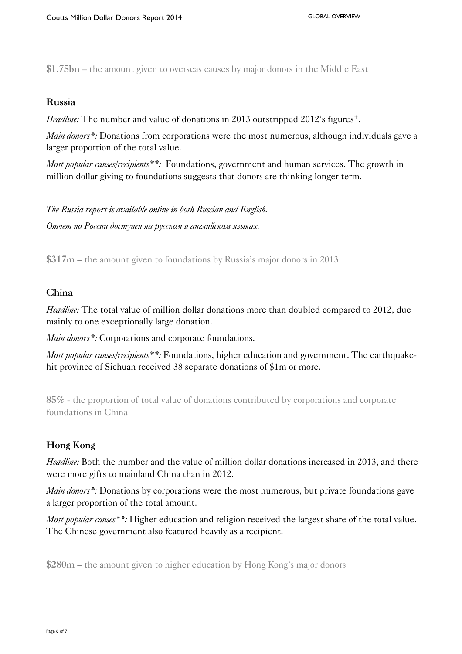**\$1.75bn** – the amount given to overseas causes by major donors in the Middle East

#### **Russia**

*Headline:* The number and value of donations in 2013 outstripped 2012's figures<sup>+</sup>.

*Main donors\*:* Donations from corporations were the most numerous, although individuals gave a larger proportion of the total value.

*Most popular causes/recipients\*\*:* Foundations, government and human services. The growth in million dollar giving to foundations suggests that donors are thinking longer term.

*The Russia report is available online in both Russian and English. Отчет по России доступен на русском и английском языках.* 

**\$317m** – the amount given to foundations by Russia's major donors in 2013

#### **China**

*Headline:* The total value of million dollar donations more than doubled compared to 2012, due mainly to one exceptionally large donation.

*Main donors\*:* Corporations and corporate foundations.

*Most popular causes/recipients\*\*:* Foundations, higher education and government. The earthquakehit province of Sichuan received 38 separate donations of \$1m or more.

**85%** - the proportion of total value of donations contributed by corporations and corporate foundations in China

## **Hong Kong**

*Headline:* Both the number and the value of million dollar donations increased in 2013, and there were more gifts to mainland China than in 2012.

*Main donors*<sup>\*</sup>: Donations by corporations were the most numerous, but private foundations gave a larger proportion of the total amount.

*Most popular causes\*\*:* Higher education and religion received the largest share of the total value. The Chinese government also featured heavily as a recipient.

**\$280m** – the amount given to higher education by Hong Kong's major donors